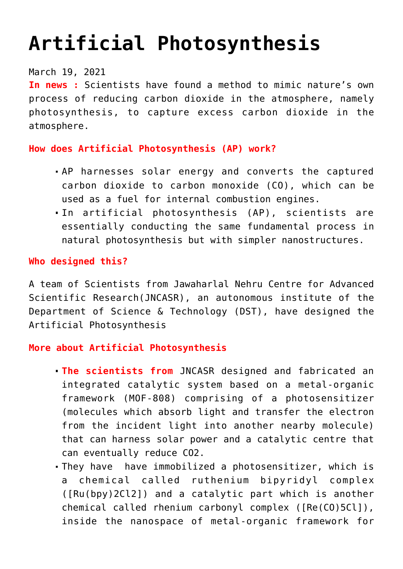# **[Artificial Photosynthesis](https://journalsofindia.com/artificial-photosynthesis/)**

#### March 19, 2021

**In news :** Scientists have found a method to mimic nature's own process of reducing carbon dioxide in the atmosphere, namely photosynthesis, to capture excess carbon dioxide in the atmosphere.

## **How does Artificial Photosynthesis (AP) work?**

- AP harnesses solar energy and converts the captured carbon dioxide to carbon monoxide (CO), which can be used as a fuel for internal combustion engines.
- In artificial photosynthesis (AP), scientists are essentially conducting the same fundamental process in natural photosynthesis but with simpler nanostructures.

## **Who designed this?**

A team of Scientists from Jawaharlal Nehru Centre for Advanced Scientific Research(JNCASR), an autonomous institute of the Department of Science & Technology (DST), have designed the Artificial Photosynthesis

#### **More about Artificial Photosynthesis**

- **The scientists from** JNCASR designed and fabricated an integrated catalytic system based on a metal-organic framework (MOF-808) comprising of a photosensitizer (molecules which absorb light and transfer the electron from the incident light into another nearby molecule) that can harness solar power and a catalytic centre that can eventually reduce CO2.
- They have have immobilized a photosensitizer, which is a chemical called ruthenium bipyridyl complex ([Ru(bpy)2Cl2]) and a catalytic part which is another chemical called rhenium carbonyl complex ([Re(CO)5Cl]), inside the nanospace of metal-organic framework for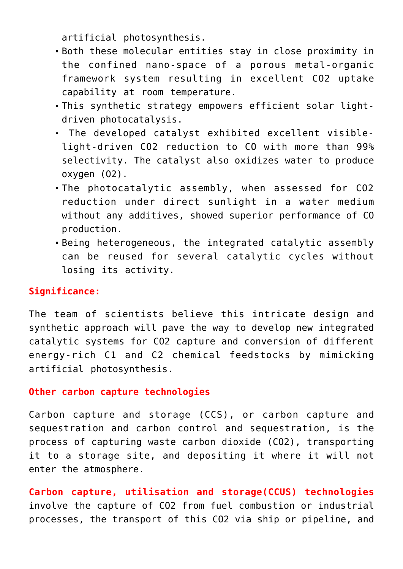artificial photosynthesis.

- Both these molecular entities stay in close proximity in the confined nano-space of a porous metal-organic framework system resulting in excellent CO2 uptake capability at room temperature.
- This synthetic strategy empowers efficient solar lightdriven photocatalysis.
- The developed catalyst exhibited excellent visiblelight-driven CO2 reduction to CO with more than 99% selectivity. The catalyst also oxidizes water to produce oxygen (O2).
- The photocatalytic assembly, when assessed for CO2 reduction under direct sunlight in a water medium without any additives, showed superior performance of CO production.
- Being heterogeneous, the integrated catalytic assembly can be reused for several catalytic cycles without losing its activity.

# **Significance:**

The team of scientists believe this intricate design and synthetic approach will pave the way to develop new integrated catalytic systems for CO2 capture and conversion of different energy-rich C1 and C2 chemical feedstocks by mimicking artificial photosynthesis.

#### **Other carbon capture technologies**

Carbon capture and storage (CCS), or carbon capture and sequestration and carbon control and sequestration, is the process of capturing waste carbon dioxide (CO2), transporting it to a storage site, and depositing it where it will not enter the atmosphere.

**Carbon capture, utilisation and storage(CCUS) technologies** involve the capture of CO2 from fuel combustion or industrial processes, the transport of this CO2 via ship or pipeline, and